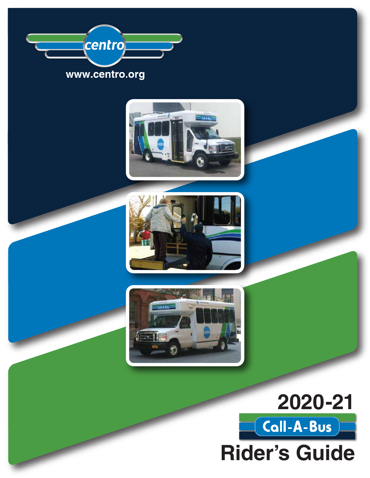







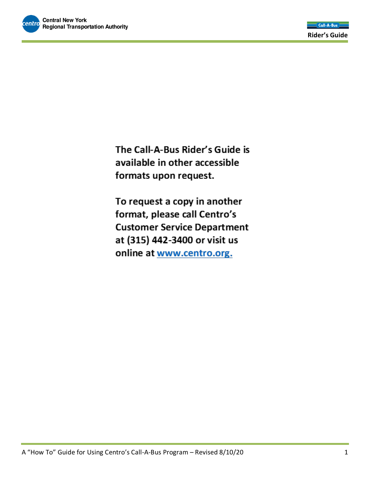The Call-A-Bus Rider's Guide is available in other accessible formats upon request.

To request a copy in another format, please call Centro's **Customer Service Department** at (315) 442-3400 or visit us online at www.centro.org.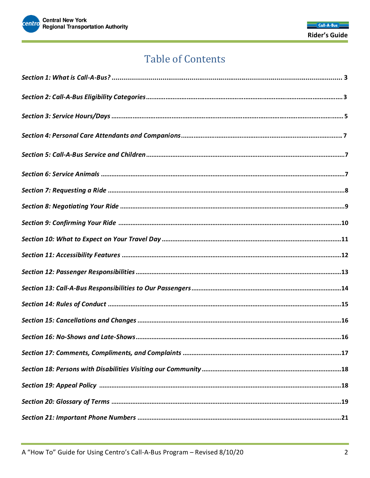

### **Table of Contents**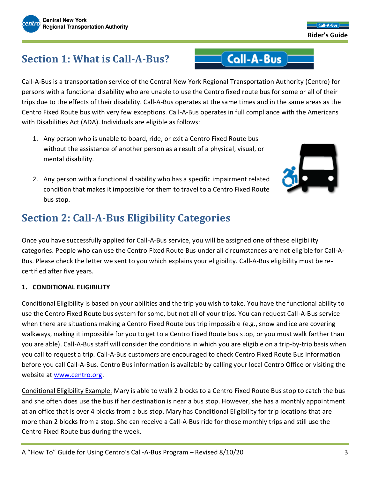### **Section 1: What is Call-A-Bus?**

Call-A-Bus is a transportation service of the Central New York Regional Transportation Authority (Centro) for persons with a functional disability who are unable to use the Centro fixed route bus for some or all of their trips due to the effects of their disability. Call-A-Bus operates at the same times and in the same areas as the Centro Fixed Route bus with very few exceptions. Call-A-Bus operates in full compliance with the Americans with Disabilities Act (ADA). Individuals are eligible as follows:

 $\equiv$  Call-A-Bus

- 1. Any person who is unable to board, ride, or exit a Centro Fixed Route bus without the assistance of another person as a result of a physical, visual, or mental disability.
- 2. Any person with a functional disability who has a specific impairment related condition that makes it impossible for them to travel to a Centro Fixed Route bus stop.

### **Section 2: Call-A-Bus Eligibility Categories**

Once you have successfully applied for Call-A-Bus service, you will be assigned one of these eligibility categories. People who can use the Centro Fixed Route Bus under all circumstances are not eligible for Call-A-Bus. Please check the letter we sent to you which explains your eligibility. Call-A-Bus eligibility must be recertified after five years.

#### **1. CONDITIONAL ELIGIBILITY**

Conditional Eligibility is based on your abilities and the trip you wish to take. You have the functional ability to use the Centro Fixed Route bus system for some, but not all of your trips. You can request Call-A-Bus service when there are situations making a Centro Fixed Route bus trip impossible (e.g., snow and ice are covering walkways, making it impossible for you to get to a Centro Fixed Route bus stop, or you must walk farther than you are able). Call-A-Bus staff will consider the conditions in which you are eligible on a trip-by-trip basis when you call to request a trip. Call-A-Bus customers are encouraged to check Centro Fixed Route Bus information before you call Call-A-Bus. Centro Bus information is available by calling your local Centro Office or visiting the website at [www.centro.org.](http://www.centro.org/)

Conditional Eligibility Example: Mary is able to walk 2 blocks to a Centro Fixed Route Bus stop to catch the bus and she often does use the bus if her destination is near a bus stop. However, she has a monthly appointment at an office that is over 4 blocks from a bus stop. Mary has Conditional Eligibility for trip locations that are more than 2 blocks from a stop. She can receive a Call-A-Bus ride for those monthly trips and still use the Centro Fixed Route bus during the week.



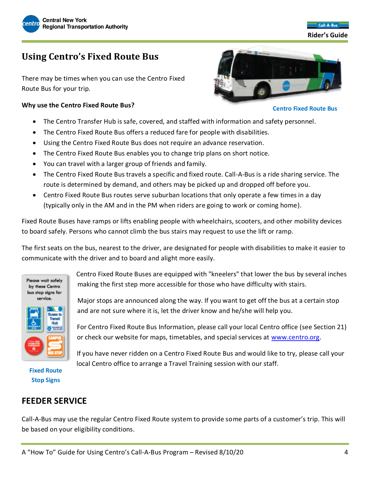

 $Coll.A.Rus$  **Rider's Guide**

### **Using Centro's Fixed Route Bus**

There may be times when you can use the Centro Fixed Route Bus for your trip.

#### **Why use the Centro Fixed Route Bus?**

- **Centro Fixed Route Bus**
- The Centro Transfer Hub is safe, covered, and staffed with information and safety personnel.
- The Centro Fixed Route Bus offers a reduced fare for people with disabilities.
- Using the Centro Fixed Route Bus does not require an advance reservation.
- The Centro Fixed Route Bus enables you to change trip plans on short notice.
- You can travel with a larger group of friends and family.
- The Centro Fixed Route Bus travels a specific and fixed route. Call-A-Bus is a ride sharing service. The route is determined by demand, and others may be picked up and dropped off before you.
- Centro Fixed Route Bus routes serve suburban locations that only operate a few times in a day (typically only in the AM and in the PM when riders are going to work or coming home).

Fixed Route Buses have ramps or lifts enabling people with wheelchairs, scooters, and other mobility devices to board safely. Persons who cannot climb the bus stairs may request to use the lift or ramp.

The first seats on the bus, nearest to the driver, are designated for people with disabilities to make it easier to communicate with the driver and to board and alight more easily.



Centro Fixed Route Buses are equipped with "kneelers" that lower the bus by several inches making the first step more accessible for those who have difficulty with stairs.

Major stops are announced along the way. If you want to get off the bus at a certain stop and are not sure where it is, let the driver know and he/she will help you.

For Centro Fixed Route Bus Information, please call your local Centro office (see Section 21) or check our website for maps, timetables, and special services at [www.centro.org.](http://www.centro.org/)

If you have never ridden on a Centro Fixed Route Bus and would like to try, please call your

## **Stop Signs**

local Centro office to arrange a Travel Training session with our staff.

### **FEEDER SERVICE**

Call-A-Bus may use the regular Centro Fixed Route system to provide some parts of a customer's trip. This will be based on your eligibility conditions.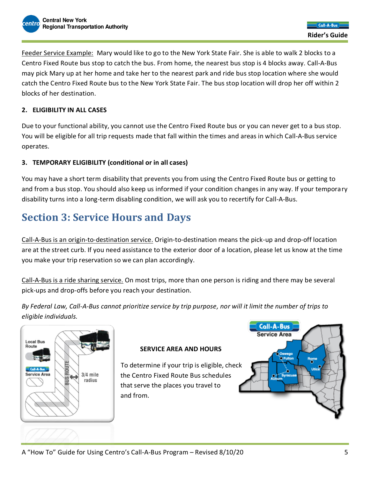Feeder Service Example: Mary would like to go to the New York State Fair. She is able to walk 2 blocks to a Centro Fixed Route bus stop to catch the bus. From home, the nearest bus stop is 4 blocks away. Call-A-Bus may pick Mary up at her home and take her to the nearest park and ride bus stop location where she would catch the Centro Fixed Route bus to the New York State Fair. The bus stop location will drop her off within 2 blocks of her destination.

#### **2. ELIGIBILITY IN ALL CASES**

Due to your functional ability, you cannot use the Centro Fixed Route bus or you can never get to a bus stop. You will be eligible for all trip requests made that fall within the times and areas in which Call-A-Bus service operates.

#### **3. TEMPORARY ELIGIBILITY (conditional or in all cases)**

You may have a short term disability that prevents you from using the Centro Fixed Route bus or getting to and from a bus stop. You should also keep us informed if your condition changes in any way. If your temporary disability turns into a long-term disabling condition, we will ask you to recertify for Call-A-Bus.

### **Section 3: Service Hours and Days**

Call-A-Bus is an origin-to-destination service. Origin-to-destination means the pick-up and drop-off location are at the street curb. If you need assistance to the exterior door of a location, please let us know at the time you make your trip reservation so we can plan accordingly.

Call-A-Bus is a ride sharing service. On most trips, more than one person is riding and there may be several pick-ups and drop-offs before you reach your destination.

*By Federal Law, Call-A-Bus cannot prioritize service by trip purpose, nor will it limit the number of trips to eligible individuals.*



#### **SERVICE AREA AND HOURS**

To determine if your trip is eligible, check the Centro Fixed Route Bus schedules that serve the places you travel to and from.

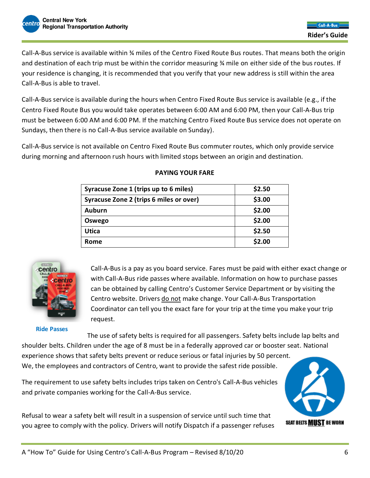Call-A-Bus service is available within ¾ miles of the Centro Fixed Route Bus routes. That means both the origin and destination of each trip must be within the corridor measuring ¾ mile on either side of the bus routes. If your residence is changing, it is recommended that you verify that your new address is still within the area Call-A-Bus is able to travel.

Call-A-Bus service is available during the hours when Centro Fixed Route Bus service is available (e.g., if the Centro Fixed Route Bus you would take operates between 6:00 AM and 6:00 PM, then your Call-A-Bus trip must be between 6:00 AM and 6:00 PM. If the matching Centro Fixed Route Bus service does not operate on Sundays, then there is no Call-A-Bus service available on Sunday).

Call-A-Bus service is not available on Centro Fixed Route Bus commuter routes, which only provide service during morning and afternoon rush hours with limited stops between an origin and destination.

| Syracuse Zone 1 (trips up to 6 miles)   | \$2.50 |
|-----------------------------------------|--------|
| Syracuse Zone 2 (trips 6 miles or over) | \$3.00 |
| Auburn                                  | \$2.00 |
| Oswego                                  | \$2.00 |
| <b>Utica</b>                            | \$2.50 |
| Rome                                    | \$2.00 |

#### **PAYING YOUR FARE**



**Ride Passes**

Call-A-Bus is a pay as you board service. Fares must be paid with either exact change or with Call-A-Bus ride passes where available. Information on how to purchase passes can be obtained by calling Centro's Customer Service Department or by visiting the Centro website. Drivers do not make change. Your Call-A-Bus Transportation Coordinator can tell you the exact fare for your trip at the time you make your trip request.

The use of safety belts is required for all passengers. Safety belts include lap belts and shoulder belts. Children under the age of 8 must be in a federally approved car or booster seat. National experience shows that safety belts prevent or reduce serious or fatal injuries by 50 percent. We, the employees and contractors of Centro, want to provide the safest ride possible.

The requirement to use safety belts includes trips taken on Centro's Call-A-Bus vehicles and private companies working for the Call-A-Bus service.

Refusal to wear a safety belt will result in a suspension of service until such time that you agree to comply with the policy. Drivers will notify Dispatch if a passenger refuses

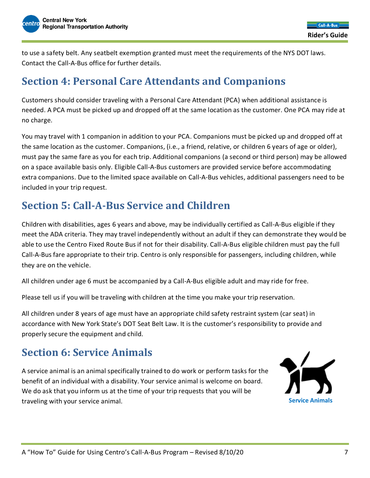to use a safety belt. Any seatbelt exemption granted must meet the requirements of the NYS DOT laws. Contact the Call-A-Bus office for further details.

### **Section 4: Personal Care Attendants and Companions**

Customers should consider traveling with a Personal Care Attendant (PCA) when additional assistance is needed. A PCA must be picked up and dropped off at the same location as the customer. One PCA may ride at no charge.

You may travel with 1 companion in addition to your PCA. Companions must be picked up and dropped off at the same location as the customer. Companions, (i.e., a friend, relative, or children 6 years of age or older), must pay the same fare as you for each trip. Additional companions (a second or third person) may be allowed on a space available basis only. Eligible Call-A-Bus customers are provided service before accommodating extra companions. Due to the limited space available on Call-A-Bus vehicles, additional passengers need to be included in your trip request.

### **Section 5: Call-A-Bus Service and Children**

Children with disabilities, ages 6 years and above, may be individually certified as Call-A-Bus eligible if they meet the ADA criteria. They may travel independently without an adult if they can demonstrate they would be able to use the Centro Fixed Route Bus if not for their disability. Call-A-Bus eligible children must pay the full Call-A-Bus fare appropriate to their trip. Centro is only responsible for passengers, including children, while they are on the vehicle.

All children under age 6 must be accompanied by a Call-A-Bus eligible adult and may ride for free.

Please tell us if you will be traveling with children at the time you make your trip reservation.

All children under 8 years of age must have an appropriate child safety restraint system (car seat) in accordance with New York State's DOT Seat Belt Law. It is the customer's responsibility to provide and properly secure the equipment and child.

### **Section 6: Service Animals**

A service animal is an animal specifically trained to do work or perform tasks for the benefit of an individual with a disability. Your service animal is welcome on board. We do ask that you inform us at the time of your trip requests that you will be traveling with your service animal. **Service Animals**

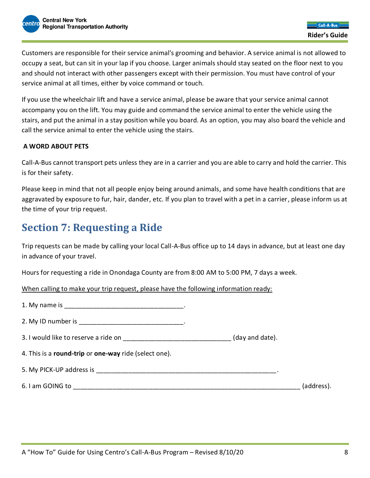Customers are responsible for their service animal's grooming and behavior. A service animal is not allowed to occupy a seat, but can sit in your lap if you choose. Larger animals should stay seated on the floor next to you and should not interact with other passengers except with their permission. You must have control of your service animal at all times, either by voice command or touch.

If you use the wheelchair lift and have a service animal, please be aware that your service animal cannot accompany you on the lift. You may guide and command the service animal to enter the vehicle using the stairs, and put the animal in a stay position while you board. As an option, you may also board the vehicle and call the service animal to enter the vehicle using the stairs.

#### **A WORD ABOUT PETS**

Call-A-Bus cannot transport pets unless they are in a carrier and you are able to carry and hold the carrier. This is for their safety.

Please keep in mind that not all people enjoy being around animals, and some have health conditions that are aggravated by exposure to fur, hair, dander, etc. If you plan to travel with a pet in a carrier, please inform us at the time of your trip request.

### **Section 7: Requesting a Ride**

Trip requests can be made by calling your local Call-A-Bus office up to 14 days in advance, but at least one day in advance of your travel.

Hours for requesting a ride in Onondaga County are from 8:00 AM to 5:00 PM, 7 days a week.

When calling to make your trip request, please have the following information ready:

| 2. My ID number is __________________________________.                                 |            |
|----------------------------------------------------------------------------------------|------------|
| 3. I would like to reserve a ride on __________________________________(day and date). |            |
| 4. This is a round-trip or one-way ride (select one).                                  |            |
|                                                                                        |            |
|                                                                                        | (address). |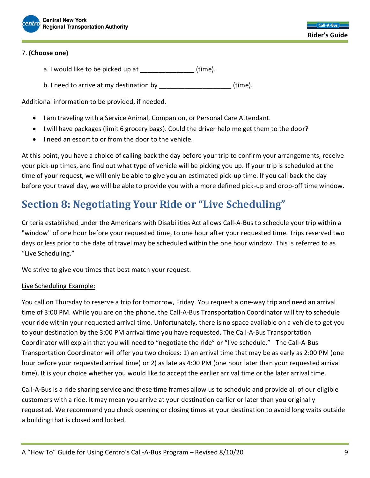

#### 7. **(Choose one)**

- a. I would like to be picked up at \_\_\_\_\_\_\_\_\_\_\_\_\_\_\_\_(time).
- b. I need to arrive at my destination by  $\frac{1}{2}$   $\frac{1}{2}$   $\frac{1}{2}$   $\frac{1}{2}$   $\frac{1}{2}$   $\frac{1}{2}$   $\frac{1}{2}$   $\frac{1}{2}$   $\frac{1}{2}$   $\frac{1}{2}$   $\frac{1}{2}$   $\frac{1}{2}$   $\frac{1}{2}$   $\frac{1}{2}$   $\frac{1}{2}$   $\frac{1}{2}$   $\frac{1}{2}$   $\frac{1}{2}$

Additional information to be provided, if needed.

- I am traveling with a Service Animal, Companion, or Personal Care Attendant.
- I will have packages (limit 6 grocery bags). Could the driver help me get them to the door?
- I need an escort to or from the door to the vehicle.

At this point, you have a choice of calling back the day before your trip to confirm your arrangements, receive your pick-up times, and find out what type of vehicle will be picking you up. If your trip is scheduled at the time of your request, we will only be able to give you an estimated pick-up time. If you call back the day before your travel day, we will be able to provide you with a more defined pick-up and drop-off time window.

### **Section 8: Negotiating Your Ride or "Live Scheduling"**

Criteria established under the Americans with Disabilities Act allows Call-A-Bus to schedule your trip within a "window" of one hour before your requested time, to one hour after your requested time. Trips reserved two days or less prior to the date of travel may be scheduled within the one hour window. This is referred to as "Live Scheduling."

We strive to give you times that best match your request.

#### Live Scheduling Example:

You call on Thursday to reserve a trip for tomorrow, Friday. You request a one-way trip and need an arrival time of 3:00 PM. While you are on the phone, the Call-A-Bus Transportation Coordinator will try to schedule your ride within your requested arrival time. Unfortunately, there is no space available on a vehicle to get you to your destination by the 3:00 PM arrival time you have requested. The Call-A-Bus Transportation Coordinator will explain that you will need to "negotiate the ride" or "live schedule." The Call-A-Bus Transportation Coordinator will offer you two choices: 1) an arrival time that may be as early as 2:00 PM (one hour before your requested arrival time) or 2) as late as 4:00 PM (one hour later than your requested arrival time). It is your choice whether you would like to accept the earlier arrival time or the later arrival time.

Call-A-Bus is a ride sharing service and these time frames allow us to schedule and provide all of our eligible customers with a ride. It may mean you arrive at your destination earlier or later than you originally requested. We recommend you check opening or closing times at your destination to avoid long waits outside a building that is closed and locked.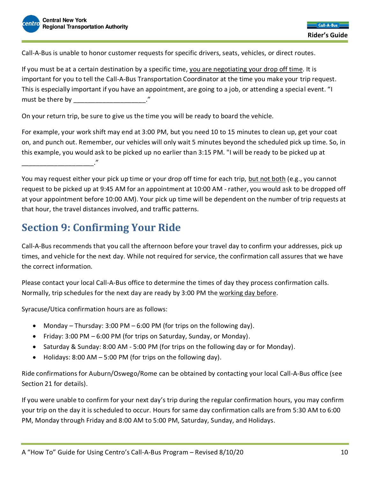Call-A-Bus is unable to honor customer requests for specific drivers, seats, vehicles, or direct routes.

If you must be at a certain destination by a specific time, you are negotiating your drop off time. It is important for you to tell the Call-A-Bus Transportation Coordinator at the time you make your trip request. This is especially important if you have an appointment, are going to a job, or attending a special event. "I must be there by \_\_\_\_\_\_\_\_\_\_\_\_\_\_\_\_\_\_\_\_\_."

On your return trip, be sure to give us the time you will be ready to board the vehicle.

For example, your work shift may end at 3:00 PM, but you need 10 to 15 minutes to clean up, get your coat on, and punch out. Remember, our vehicles will only wait 5 minutes beyond the scheduled pick up time. So, in this example, you would ask to be picked up no earlier than 3:15 PM. "I will be ready to be picked up at \_\_\_\_\_\_\_\_\_\_\_\_\_\_\_\_\_\_\_\_."

You may request either your pick up time or your drop off time for each trip, but not both (e.g., you cannot request to be picked up at 9:45 AM for an appointment at 10:00 AM - rather, you would ask to be dropped off at your appointment before 10:00 AM). Your pick up time will be dependent on the number of trip requests at that hour, the travel distances involved, and traffic patterns.

### **Section 9: Confirming Your Ride**

Call-A-Bus recommends that you call the afternoon before your travel day to confirm your addresses, pick up times, and vehicle for the next day. While not required for service, the confirmation call assures that we have the correct information.

Please contact your local Call-A-Bus office to determine the times of day they process confirmation calls. Normally, trip schedules for the next day are ready by 3:00 PM the working day before.

Syracuse/Utica confirmation hours are as follows:

- Monday Thursday:  $3:00$  PM  $6:00$  PM (for trips on the following day).
- Friday: 3:00 PM 6:00 PM (for trips on Saturday, Sunday, or Monday).
- Saturday & Sunday: 8:00 AM 5:00 PM (for trips on the following day or for Monday).
- Holidays:  $8:00$  AM  $5:00$  PM (for trips on the following day).

Ride confirmations for Auburn/Oswego/Rome can be obtained by contacting your local Call-A-Bus office (see Section 21 for details).

If you were unable to confirm for your next day's trip during the regular confirmation hours, you may confirm your trip on the day it is scheduled to occur. Hours for same day confirmation calls are from 5:30 AM to 6:00 PM, Monday through Friday and 8:00 AM to 5:00 PM, Saturday, Sunday, and Holidays.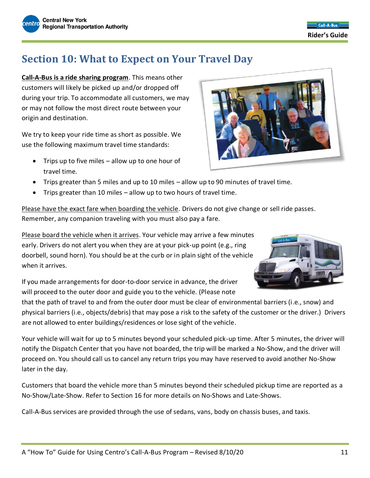### **Section 10: What to Expect on Your Travel Day**

**Call-A-Bus is a ride sharing program**. This means other customers will likely be picked up and/or dropped off during your trip. To accommodate all customers, we may or may not follow the most direct route between your origin and destination.

We try to keep your ride time as short as possible. We use the following maximum travel time standards:

- Trips up to five miles allow up to one hour of travel time.
- Trips greater than 5 miles and up to 10 miles allow up to 90 minutes of travel time.
- Trips greater than 10 miles allow up to two hours of travel time.

Please have the exact fare when boarding the vehicle. Drivers do not give change or sell ride passes. Remember, any companion traveling with you must also pay a fare.

Please board the vehicle when it arrives. Your vehicle may arrive a few minutes early. Drivers do not alert you when they are at your pick-up point (e.g., ring doorbell, sound horn). You should be at the curb or in plain sight of the vehicle when it arrives.

If you made arrangements for door-to-door service in advance, the driver will proceed to the outer door and guide you to the vehicle. (Please note

that the path of travel to and from the outer door must be clear of environmental barriers (i.e., snow) and physical barriers (i.e., objects/debris) that may pose a risk to the safety of the customer or the driver.) Drivers are not allowed to enter buildings/residences or lose sight of the vehicle.

Your vehicle will wait for up to 5 minutes beyond your scheduled pick-up time. After 5 minutes, the driver will notify the Dispatch Center that you have not boarded, the trip will be marked a No-Show, and the driver will proceed on. You should call us to cancel any return trips you may have reserved to avoid another No-Show later in the day.

Customers that board the vehicle more than 5 minutes beyond their scheduled pickup time are reported as a No-Show/Late-Show. Refer to Section 16 for more details on No-Shows and Late-Shows.

Call-A-Bus services are provided through the use of sedans, vans, body on chassis buses, and taxis.



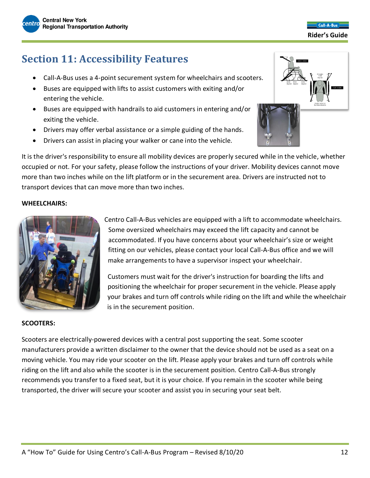### **Section 11: Accessibility Features**

- Call-A-Bus uses a 4-point securement system for wheelchairs and scooters.
- Buses are equipped with lifts to assist customers with exiting and/or entering the vehicle.
- Buses are equipped with handrails to aid customers in entering and/or exiting the vehicle.
- Drivers may offer verbal assistance or a simple guiding of the hands.
- Drivers can assist in placing your walker or cane into the vehicle.

It is the driver's responsibility to ensure all mobility devices are properly secured while in the vehicle, whether occupied or not. For your safety, please follow the instructions of your driver. Mobility devices cannot move more than two inches while on the lift platform or in the securement area. Drivers are instructed not to transport devices that can move more than two inches.

#### **WHEELCHAIRS:**



Centro Call-A-Bus vehicles are equipped with a lift to accommodate wheelchairs. Some oversized wheelchairs may exceed the lift capacity and cannot be accommodated. If you have concerns about your wheelchair's size or weight fitting on our vehicles, please contact your local Call-A-Bus office and we will make arrangements to have a supervisor inspect your wheelchair.

Customers must wait for the driver's instruction for boarding the lifts and positioning the wheelchair for proper securement in the vehicle. Please apply your brakes and turn off controls while riding on the lift and while the wheelchair is in the securement position.

#### **SCOOTERS:**

Scooters are electrically-powered devices with a central post supporting the seat. Some scooter manufacturers provide a written disclaimer to the owner that the device should not be used as a seat on a moving vehicle. You may ride your scooter on the lift. Please apply your brakes and turn off controls while riding on the lift and also while the scooter is in the securement position. Centro Call-A-Bus strongly recommends you transfer to a fixed seat, but it is your choice. If you remain in the scooter while being transported, the driver will secure your scooter and assist you in securing your seat belt.

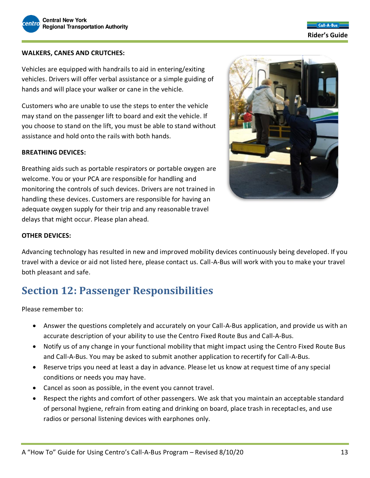

 $Coll.A.Rus$  **Rider's Guide**

#### **WALKERS, CANES AND CRUTCHES:**

Vehicles are equipped with handrails to aid in entering/exiting vehicles. Drivers will offer verbal assistance or a simple guiding of hands and will place your walker or cane in the vehicle.

Customers who are unable to use the steps to enter the vehicle may stand on the passenger lift to board and exit the vehicle. If you choose to stand on the lift, you must be able to stand without assistance and hold onto the rails with both hands.

#### **BREATHING DEVICES:**

Breathing aids such as portable respirators or portable oxygen are welcome. You or your PCA are responsible for handling and monitoring the controls of such devices. Drivers are not trained in handling these devices. Customers are responsible for having an adequate oxygen supply for their trip and any reasonable travel delays that might occur. Please plan ahead.



#### **OTHER DEVICES:**

Advancing technology has resulted in new and improved mobility devices continuously being developed. If you travel with a device or aid not listed here, please contact us. Call-A-Bus will work with you to make your travel both pleasant and safe.

### **Section 12: Passenger Responsibilities**

Please remember to:

- Answer the questions completely and accurately on your Call-A-Bus application, and provide us with an accurate description of your ability to use the Centro Fixed Route Bus and Call-A-Bus.
- Notify us of any change in your functional mobility that might impact using the Centro Fixed Route Bus and Call-A-Bus. You may be asked to submit another application to recertify for Call-A-Bus.
- Reserve trips you need at least a day in advance. Please let us know at request time of any special conditions or needs you may have.
- Cancel as soon as possible, in the event you cannot travel.
- Respect the rights and comfort of other passengers. We ask that you maintain an acceptable standard of personal hygiene, refrain from eating and drinking on board, place trash in receptacles, and use radios or personal listening devices with earphones only.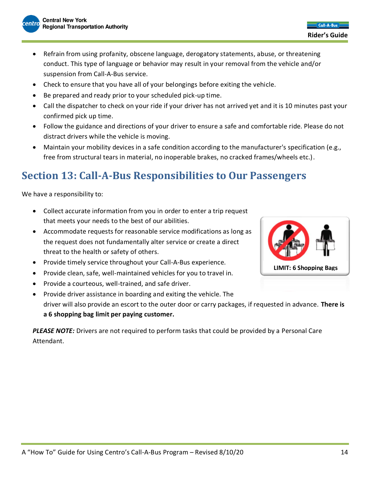- Refrain from using profanity, obscene language, derogatory statements, abuse, or threatening conduct. This type of language or behavior may result in your removal from the vehicle and/or suspension from Call-A-Bus service.
- Check to ensure that you have all of your belongings before exiting the vehicle.
- Be prepared and ready prior to your scheduled pick-up time.
- Call the dispatcher to check on your ride if your driver has not arrived yet and it is 10 minutes past your confirmed pick up time.
- Follow the guidance and directions of your driver to ensure a safe and comfortable ride. Please do not distract drivers while the vehicle is moving.
- Maintain your mobility devices in a safe condition according to the manufacturer's specification (e.g., free from structural tears in material, no inoperable brakes, no cracked frames/wheels etc.).

### **Section 13: Call-A-Bus Responsibilities to Our Passengers**

We have a responsibility to:

- Collect accurate information from you in order to enter a trip request that meets your needs to the best of our abilities.
- Accommodate requests for reasonable service modifications as long as the request does not fundamentally alter service or create a direct threat to the health or safety of others.
- Provide timely service throughout your Call-A-Bus experience.
- Provide clean, safe, well-maintained vehicles for you to travel in.
- Provide a courteous, well-trained, and safe driver.
- Provide driver assistance in boarding and exiting the vehicle. The driver will also provide an escort to the outer door or carry packages, if requested in advance. **There is a 6 shopping bag limit per paying customer.**

*PLEASE NOTE:* Drivers are not required to perform tasks that could be provided by a Personal Care Attendant.

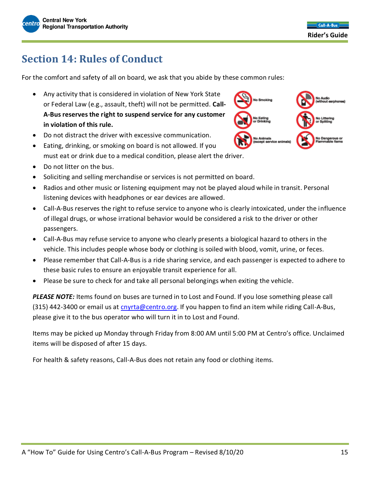

### **Section 14: Rules of Conduct**

For the comfort and safety of all on board, we ask that you abide by these common rules:

- Any activity that is considered in violation of New York State or Federal Law (e.g., assault, theft) will not be permitted. **Call-A-Bus reserves the right to suspend service for any customer in violation of this rule.**
- Do not distract the driver with excessive communication.
- Eating, drinking, or smoking on board is not allowed. If you must eat or drink due to a medical condition, please alert the driver.
- Do not litter on the bus.
- Soliciting and selling merchandise or services is not permitted on board.
- Radios and other music or listening equipment may not be played aloud while in transit. Personal listening devices with headphones or ear devices are allowed.
- Call-A-Bus reserves the right to refuse service to anyone who is clearly intoxicated, under the influence of illegal drugs, or whose irrational behavior would be considered a risk to the driver or other passengers.
- Call-A-Bus may refuse service to anyone who clearly presents a biological hazard to others in the vehicle. This includes people whose body or clothing is soiled with blood, vomit, urine, or feces.
- Please remember that Call-A-Bus is a ride sharing service, and each passenger is expected to adhere to these basic rules to ensure an enjoyable transit experience for all.
- Please be sure to check for and take all personal belongings when exiting the vehicle.

*PLEASE NOTE:* Items found on buses are turned in to Lost and Found. If you lose something please call (315) 442-3400 or email us at [cnyrta@centro.org.](mailto:cnyrta@centro.org) If you happen to find an item while riding Call-A-Bus, please give it to the bus operator who will turn it in to Lost and Found.

Items may be picked up Monday through Friday from 8:00 AM until 5:00 PM at Centro's office. Unclaimed items will be disposed of after 15 days.

For health & safety reasons, Call-A-Bus does not retain any food or clothing items.

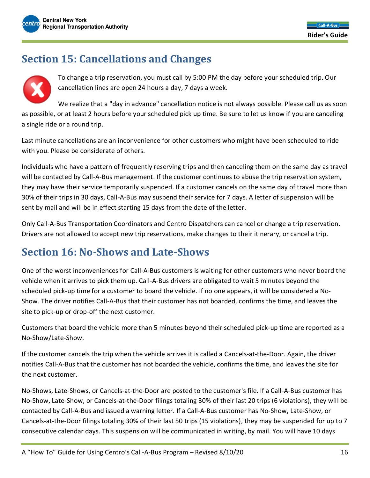

### **Section 15: Cancellations and Changes**



To change a trip reservation, you must call by 5:00 PM the day before your scheduled trip. Our cancellation lines are open 24 hours a day, 7 days a week.

We realize that a "day in advance" cancellation notice is not always possible. Please call us as soon as possible, or at least 2 hours before your scheduled pick up time. Be sure to let us know if you are canceling a single ride or a round trip.

Last minute cancellations are an inconvenience for other customers who might have been scheduled to ride with you. Please be considerate of others.

Individuals who have a pattern of frequently reserving trips and then canceling them on the same day as travel will be contacted by Call-A-Bus management. If the customer continues to abuse the trip reservation system, they may have their service temporarily suspended. If a customer cancels on the same day of travel more than 30% of their trips in 30 days, Call-A-Bus may suspend their service for 7 days. A letter of suspension will be sent by mail and will be in effect starting 15 days from the date of the letter.

Only Call-A-Bus Transportation Coordinators and Centro Dispatchers can cancel or change a trip reservation. Drivers are not allowed to accept new trip reservations, make changes to their itinerary, or cancel a trip.

### **Section 16: No-Shows and Late-Shows**

One of the worst inconveniences for Call-A-Bus customers is waiting for other customers who never board the vehicle when it arrives to pick them up. Call-A-Bus drivers are obligated to wait 5 minutes beyond the scheduled pick-up time for a customer to board the vehicle. If no one appears, it will be considered a No-Show. The driver notifies Call-A-Bus that their customer has not boarded, confirms the time, and leaves the site to pick-up or drop-off the next customer.

Customers that board the vehicle more than 5 minutes beyond their scheduled pick-up time are reported as a No-Show/Late-Show.

If the customer cancels the trip when the vehicle arrives it is called a Cancels-at-the-Door. Again, the driver notifies Call-A-Bus that the customer has not boarded the vehicle, confirms the time, and leaves the site for the next customer.

No-Shows, Late-Shows, or Cancels-at-the-Door are posted to the customer's file. If a Call-A-Bus customer has No-Show, Late-Show, or Cancels-at-the-Door filings totaling 30% of their last 20 trips (6 violations), they will be contacted by Call-A-Bus and issued a warning letter. If a Call-A-Bus customer has No-Show, Late-Show, or Cancels-at-the-Door filings totaling 30% of their last 50 trips (15 violations), they may be suspended for up to 7 consecutive calendar days. This suspension will be communicated in writing, by mail. You will have 10 days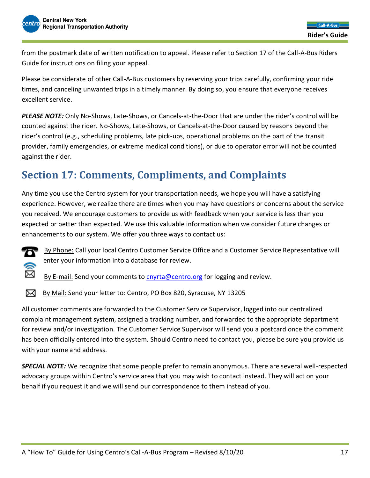from the postmark date of written notification to appeal. Please refer to Section 17 of the Call-A-Bus Riders Guide for instructions on filing your appeal.

Please be considerate of other Call-A-Bus customers by reserving your trips carefully, confirming your ride times, and canceling unwanted trips in a timely manner. By doing so, you ensure that everyone receives excellent service.

*PLEASE NOTE:* Only No-Shows, Late-Shows, or Cancels-at-the-Door that are under the rider's control will be counted against the rider. No-Shows, Late-Shows, or Cancels-at-the-Door caused by reasons beyond the rider's control (e.g., scheduling problems, late pick-ups, operational problems on the part of the transit provider, family emergencies, or extreme medical conditions), or due to operator error will not be counted against the rider.

### **Section 17: Comments, Compliments, and Complaints**

Any time you use the Centro system for your transportation needs, we hope you will have a satisfying experience. However, we realize there are times when you may have questions or concerns about the service you received. We encourage customers to provide us with feedback when your service is less than you expected or better than expected. We use this valuable information when we consider future changes or enhancements to our system. We offer you three ways to contact us:



By Phone: Call your local Centro Customer Service Office and a Customer Service Representative will enter your information into a database for review.

By E-mail: Send your comments to [cnyrta@centro.org](mailto:cnyrta@centro.org) for logging and review.

By Mail: Send your letter to: Centro, PO Box 820, Syracuse, NY 13205

All customer comments are forwarded to the Customer Service Supervisor, logged into our centralized complaint management system, assigned a tracking number, and forwarded to the appropriate department for review and/or investigation. The Customer Service Supervisor will send you a postcard once the comment has been officially entered into the system. Should Centro need to contact you, please be sure you provide us with your name and address.

*SPECIAL NOTE:* We recognize that some people prefer to remain anonymous. There are several well-respected advocacy groups within Centro's service area that you may wish to contact instead. They will act on your behalf if you request it and we will send our correspondence to them instead of you.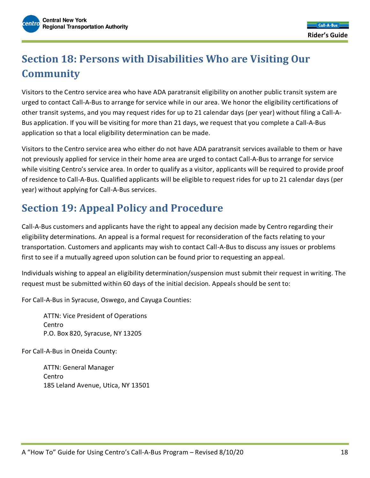### **Section 18: Persons with Disabilities Who are Visiting Our Community**

Visitors to the Centro service area who have ADA paratransit eligibility on another public transit system are urged to contact Call-A-Bus to arrange for service while in our area. We honor the eligibility certifications of other transit systems, and you may request rides for up to 21 calendar days (per year) without filing a Call-A-Bus application. If you will be visiting for more than 21 days, we request that you complete a Call-A-Bus application so that a local eligibility determination can be made.

Visitors to the Centro service area who either do not have ADA paratransit services available to them or have not previously applied for service in their home area are urged to contact Call-A-Bus to arrange for service while visiting Centro's service area. In order to qualify as a visitor, applicants will be required to provide proof of residence to Call-A-Bus. Qualified applicants will be eligible to request rides for up to 21 calendar days (per year) without applying for Call-A-Bus services.

### **Section 19: Appeal Policy and Procedure**

Call-A-Bus customers and applicants have the right to appeal any decision made by Centro regarding their eligibility determinations. An appeal is a formal request for reconsideration of the facts relating to your transportation. Customers and applicants may wish to contact Call-A-Bus to discuss any issues or problems first to see if a mutually agreed upon solution can be found prior to requesting an appeal.

Individuals wishing to appeal an eligibility determination/suspension must submit their request in writing. The request must be submitted within 60 days of the initial decision. Appeals should be sent to:

For Call-A-Bus in Syracuse, Oswego, and Cayuga Counties:

ATTN: Vice President of Operations Centro P.O. Box 820, Syracuse, NY 13205

For Call-A-Bus in Oneida County:

ATTN: General Manager Centro 185 Leland Avenue, Utica, NY 13501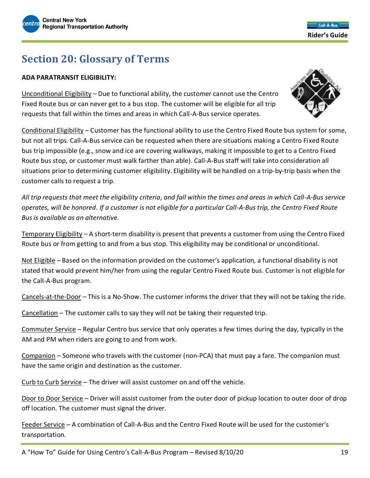

**Section 20: Glossary of Terms**

#### **ADA PARATRANSIT ELIGIBILITY:**

Unconditional Eligibility – Due to functional ability, the customer cannot use the Centro Fixed Route bus or can never get to a bus stop. The customer will be eligible for all trip requests that fall within the times and areas in which Call-A-Bus service operates.

Conditional Eligibility – Customer has the functional ability to use the Centro Fixed Route bus system for some, but not all trips. Call-A-Bus service can be requested when there are situations making a Centro Fixed Route bus trip impossible (e.g., snow and ice are covering walkways, making it impossible to get to a Centro Fixed Route bus stop, or customer must walk farther than able). Call-A-Bus staff will take into consideration all situations prior to determining customer eligibility. Eligibility will be handled on a trip-by-trip basis when the customer calls to request a trip.

*All trip requests that meet the eligibility criteria, and fall within the times and areas in which Call-A-Bus service operates, will be honored. If a customer is not eligible for a particular Call-A-Bus trip, the Centro Fixed Route Bus is available as an alternative.*

Temporary Eligibility – A short-term disability is present that prevents a customer from using the Centro Fixed Route bus or from getting to and from a bus stop. This eligibility may be conditional or unconditional.

Not Eligible – Based on the information provided on the customer's application, a functional disability is not stated that would prevent him/her from using the regular Centro Fixed Route bus. Customer is not eligible for the Call-A-Bus program.

Cancels-at-the-Door – This is a No-Show. The customer informs the driver that they will not be taking the ride.

Cancellation – The customer calls to say they will not be taking their requested trip.

Commuter Service – Regular Centro bus service that only operates a few times during the day, typically in the AM and PM when riders are going to and from work.

Companion – Someone who travels with the customer (non-PCA) that must pay a fare. The companion must have the same origin and destination as the customer.

Curb to Curb Service – The driver will assist customer on and off the vehicle.

Door to Door Service – Driver will assist customer from the outer door of pickup location to outer door of drop off location. The customer must signal the driver.

Feeder Service – A combination of Call-A-Bus and the Centro Fixed Route will be used for the customer's transportation.

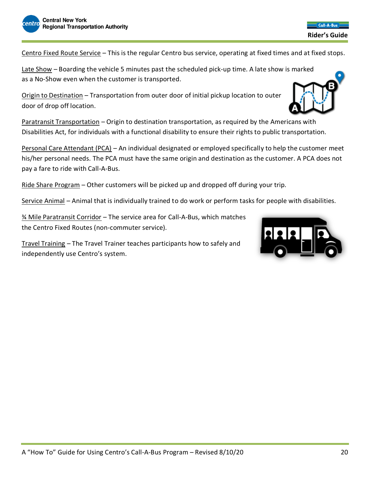Centro Fixed Route Service – This is the regular Centro bus service, operating at fixed times and at fixed stops.

Late Show – Boarding the vehicle 5 minutes past the scheduled pick-up time. A late show is marked as a No-Show even when the customer is transported.

Origin to Destination – Transportation from outer door of initial pickup location to outer door of drop off location.

Paratransit Transportation – Origin to destination transportation, as required by the Americans with Disabilities Act, for individuals with a functional disability to ensure their rights to public transportation.

Personal Care Attendant (PCA) – An individual designated or employed specifically to help the customer meet his/her personal needs. The PCA must have the same origin and destination as the customer. A PCA does not pay a fare to ride with Call-A-Bus.

Ride Share Program – Other customers will be picked up and dropped off during your trip.

Service Animal – Animal that is individually trained to do work or perform tasks for people with disabilities.

¾ Mile Paratransit Corridor – The service area for Call-A-Bus, which matches the Centro Fixed Routes (non-commuter service).

Travel Training – The Travel Trainer teaches participants how to safely and independently use Centro's system.







#### **Rider's Guide**